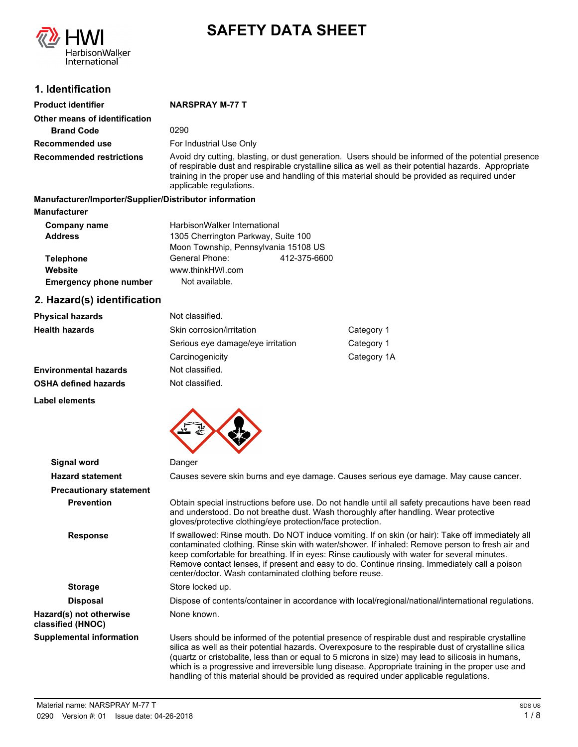

# **SAFETY DATA SHEET**

# **1. Identification**

| <b>Product identifier</b>                              | <b>NARSPRAY M-77 T</b>                                                                                                                                                                                                                                                                                                                  |
|--------------------------------------------------------|-----------------------------------------------------------------------------------------------------------------------------------------------------------------------------------------------------------------------------------------------------------------------------------------------------------------------------------------|
| Other means of identification                          |                                                                                                                                                                                                                                                                                                                                         |
| <b>Brand Code</b>                                      | 0290                                                                                                                                                                                                                                                                                                                                    |
| Recommended use                                        | For Industrial Use Only                                                                                                                                                                                                                                                                                                                 |
| <b>Recommended restrictions</b>                        | Avoid dry cutting, blasting, or dust generation. Users should be informed of the potential presence<br>of respirable dust and respirable crystalline silica as well as their potential hazards. Appropriate<br>training in the proper use and handling of this material should be provided as required under<br>applicable regulations. |
| Manufacturer/Importer/Supplier/Distributor information |                                                                                                                                                                                                                                                                                                                                         |

**Manufacturer** Telephone General Phone: 412-375-6600 Moon Township, Pennsylvania 15108 US HarbisonWalker International **Address Emergency phone number** Not available. 1305 Cherrington Parkway, Suite 100 **Company name Website** www.thinkHWI.com

# **2. Hazard(s) identification**

| <b>Physical hazards</b>      | Not classified.                         |             |
|------------------------------|-----------------------------------------|-------------|
| <b>Health hazards</b>        | Skin corrosion/irritation<br>Category 1 |             |
|                              | Serious eye damage/eye irritation       | Category 1  |
|                              | Carcinogenicity                         | Category 1A |
| <b>Environmental hazards</b> | Not classified.                         |             |
| <b>OSHA defined hazards</b>  | Not classified.                         |             |

**Label elements**



| Signal word                                  | Danger                                                                                                                                                                                                                                                                                                                                                                                                                                                                                                       |
|----------------------------------------------|--------------------------------------------------------------------------------------------------------------------------------------------------------------------------------------------------------------------------------------------------------------------------------------------------------------------------------------------------------------------------------------------------------------------------------------------------------------------------------------------------------------|
| <b>Hazard statement</b>                      | Causes severe skin burns and eye damage. Causes serious eye damage. May cause cancer.                                                                                                                                                                                                                                                                                                                                                                                                                        |
| <b>Precautionary statement</b>               |                                                                                                                                                                                                                                                                                                                                                                                                                                                                                                              |
| <b>Prevention</b>                            | Obtain special instructions before use. Do not handle until all safety precautions have been read<br>and understood. Do not breathe dust. Wash thoroughly after handling. Wear protective<br>gloves/protective clothing/eye protection/face protection.                                                                                                                                                                                                                                                      |
| <b>Response</b>                              | If swallowed: Rinse mouth. Do NOT induce vomiting. If on skin (or hair): Take off immediately all<br>contaminated clothing. Rinse skin with water/shower. If inhaled: Remove person to fresh air and<br>keep comfortable for breathing. If in eyes: Rinse cautiously with water for several minutes.<br>Remove contact lenses, if present and easy to do. Continue rinsing. Immediately call a poison<br>center/doctor. Wash contaminated clothing before reuse.                                             |
| <b>Storage</b>                               | Store locked up.                                                                                                                                                                                                                                                                                                                                                                                                                                                                                             |
| <b>Disposal</b>                              | Dispose of contents/container in accordance with local/regional/national/international regulations.                                                                                                                                                                                                                                                                                                                                                                                                          |
| Hazard(s) not otherwise<br>classified (HNOC) | None known.                                                                                                                                                                                                                                                                                                                                                                                                                                                                                                  |
| <b>Supplemental information</b>              | Users should be informed of the potential presence of respirable dust and respirable crystalline<br>silica as well as their potential hazards. Overexposure to the respirable dust of crystalline silica<br>(quartz or cristobalite, less than or equal to 5 microns in size) may lead to silicosis in humans,<br>which is a progressive and irreversible lung disease. Appropriate training in the proper use and<br>handling of this material should be provided as required under applicable regulations. |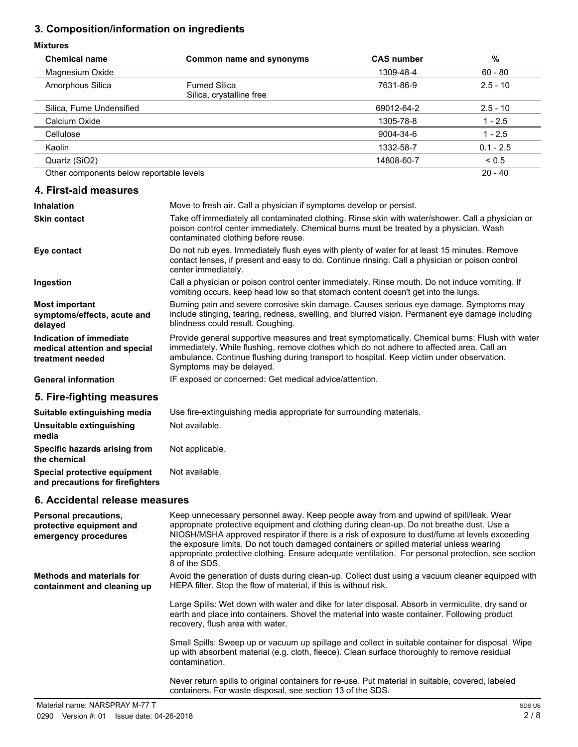# **3. Composition/information on ingredients**

# **Mixt**

| <b>Mixtures</b>                                                                  |                                                                                                                                                                                                                                                                                                                                                                                                                                                                                                        |                   |             |
|----------------------------------------------------------------------------------|--------------------------------------------------------------------------------------------------------------------------------------------------------------------------------------------------------------------------------------------------------------------------------------------------------------------------------------------------------------------------------------------------------------------------------------------------------------------------------------------------------|-------------------|-------------|
| <b>Chemical name</b>                                                             | <b>Common name and synonyms</b>                                                                                                                                                                                                                                                                                                                                                                                                                                                                        | <b>CAS number</b> | $\%$        |
| Magnesium Oxide                                                                  |                                                                                                                                                                                                                                                                                                                                                                                                                                                                                                        | 1309-48-4         | $60 - 80$   |
| Amorphous Silica                                                                 | <b>Fumed Silica</b><br>Silica, crystalline free                                                                                                                                                                                                                                                                                                                                                                                                                                                        | 7631-86-9         | $2.5 - 10$  |
| Silica, Fume Undensified                                                         |                                                                                                                                                                                                                                                                                                                                                                                                                                                                                                        | 69012-64-2        | $2.5 - 10$  |
| Calcium Oxide                                                                    |                                                                                                                                                                                                                                                                                                                                                                                                                                                                                                        | 1305-78-8         | $1 - 2.5$   |
| Cellulose                                                                        |                                                                                                                                                                                                                                                                                                                                                                                                                                                                                                        | 9004-34-6         | $1 - 2.5$   |
| Kaolin                                                                           |                                                                                                                                                                                                                                                                                                                                                                                                                                                                                                        | 1332-58-7         | $0.1 - 2.5$ |
| Quartz (SiO2)                                                                    |                                                                                                                                                                                                                                                                                                                                                                                                                                                                                                        | 14808-60-7        | ${}_{0.5}$  |
| Other components below reportable levels                                         |                                                                                                                                                                                                                                                                                                                                                                                                                                                                                                        |                   | 20 - 40     |
| 4. First-aid measures                                                            |                                                                                                                                                                                                                                                                                                                                                                                                                                                                                                        |                   |             |
| <b>Inhalation</b>                                                                | Move to fresh air. Call a physician if symptoms develop or persist.                                                                                                                                                                                                                                                                                                                                                                                                                                    |                   |             |
| <b>Skin contact</b>                                                              | Take off immediately all contaminated clothing. Rinse skin with water/shower. Call a physician or<br>poison control center immediately. Chemical burns must be treated by a physician. Wash<br>contaminated clothing before reuse.                                                                                                                                                                                                                                                                     |                   |             |
| Eye contact                                                                      | Do not rub eyes. Immediately flush eyes with plenty of water for at least 15 minutes. Remove<br>contact lenses, if present and easy to do. Continue rinsing. Call a physician or poison control<br>center immediately.                                                                                                                                                                                                                                                                                 |                   |             |
| Ingestion                                                                        | Call a physician or poison control center immediately. Rinse mouth. Do not induce vomiting. If<br>vomiting occurs, keep head low so that stomach content doesn't get into the lungs.                                                                                                                                                                                                                                                                                                                   |                   |             |
| <b>Most important</b><br>symptoms/effects, acute and<br>delayed                  | Burning pain and severe corrosive skin damage. Causes serious eye damage. Symptoms may<br>include stinging, tearing, redness, swelling, and blurred vision. Permanent eye damage including<br>blindness could result. Coughing.                                                                                                                                                                                                                                                                        |                   |             |
| Indication of immediate<br>medical attention and special<br>treatment needed     | Provide general supportive measures and treat symptomatically. Chemical burns: Flush with water<br>immediately. While flushing, remove clothes which do not adhere to affected area. Call an<br>ambulance. Continue flushing during transport to hospital. Keep victim under observation.<br>Symptoms may be delayed.                                                                                                                                                                                  |                   |             |
| <b>General information</b>                                                       | IF exposed or concerned: Get medical advice/attention.                                                                                                                                                                                                                                                                                                                                                                                                                                                 |                   |             |
| 5. Fire-fighting measures                                                        |                                                                                                                                                                                                                                                                                                                                                                                                                                                                                                        |                   |             |
| Suitable extinguishing media                                                     | Use fire-extinguishing media appropriate for surrounding materials.                                                                                                                                                                                                                                                                                                                                                                                                                                    |                   |             |
| Unsuitable extinguishing<br>media                                                | Not available.                                                                                                                                                                                                                                                                                                                                                                                                                                                                                         |                   |             |
| Specific hazards arising from<br>the chemical                                    | Not applicable.                                                                                                                                                                                                                                                                                                                                                                                                                                                                                        |                   |             |
| Special protective equipment<br>and precautions for firefighters                 | Not available.                                                                                                                                                                                                                                                                                                                                                                                                                                                                                         |                   |             |
| 6. Accidental release measures                                                   |                                                                                                                                                                                                                                                                                                                                                                                                                                                                                                        |                   |             |
| <b>Personal precautions,</b><br>protective equipment and<br>emergency procedures | Keep unnecessary personnel away. Keep people away from and upwind of spill/leak. Wear<br>appropriate protective equipment and clothing during clean-up. Do not breathe dust. Use a<br>NIOSH/MSHA approved respirator if there is a risk of exposure to dust/fume at levels exceeding<br>the exposure limits. Do not touch damaged containers or spilled material unless wearing<br>appropriate protective clothing. Ensure adequate ventilation. For personal protection, see section<br>8 of the SDS. |                   |             |
| <b>Methods and materials for</b><br>containment and cleaning up                  | Avoid the generation of dusts during clean-up. Collect dust using a vacuum cleaner equipped with<br>HEPA filter. Stop the flow of material, if this is without risk.                                                                                                                                                                                                                                                                                                                                   |                   |             |
|                                                                                  | Large Spills: Wet down with water and dike for later disposal. Absorb in vermiculite, dry sand or<br>earth and place into containers. Shovel the material into waste container. Following product<br>recovery, flush area with water.                                                                                                                                                                                                                                                                  |                   |             |
|                                                                                  | Small Spills: Sweep up or vacuum up spillage and collect in suitable container for disposal. Wipe<br>up with absorbent material (e.g. cloth, fleece). Clean surface thoroughly to remove residual                                                                                                                                                                                                                                                                                                      |                   |             |

Never return spills to original containers for re-use. Put material in suitable, covered, labeled containers. For waste disposal, see section 13 of the SDS.

contamination.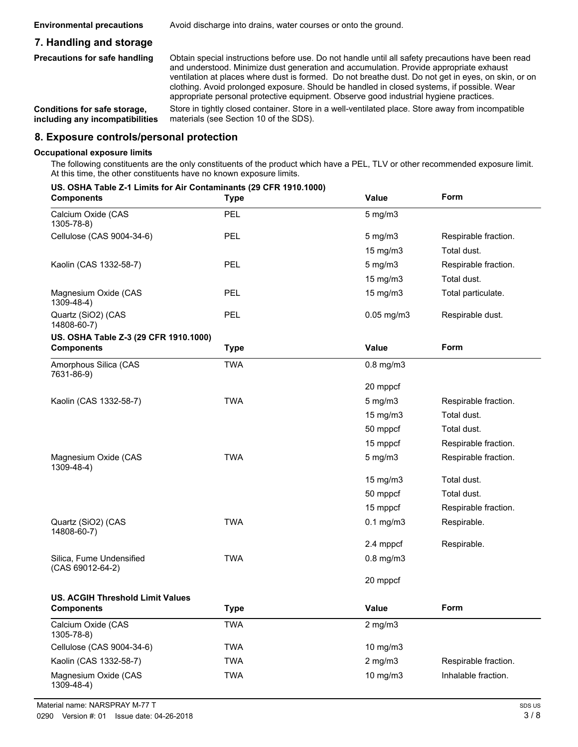**Environmental precautions** Avoid discharge into drains, water courses or onto the ground.

# **7. Handling and storage**

**Precautions for safe handling**

Obtain special instructions before use. Do not handle until all safety precautions have been read and understood. Minimize dust generation and accumulation. Provide appropriate exhaust ventilation at places where dust is formed. Do not breathe dust. Do not get in eyes, on skin, or on clothing. Avoid prolonged exposure. Should be handled in closed systems, if possible. Wear appropriate personal protective equipment. Observe good industrial hygiene practices.

**Conditions for safe storage, including any incompatibilities** Store in tightly closed container. Store in a well-ventilated place. Store away from incompatible materials (see Section 10 of the SDS).

#### **8. Exposure controls/personal protection**

#### **Occupational exposure limits**

The following constituents are the only constituents of the product which have a PEL, TLV or other recommended exposure limit. At this time, the other constituents have no known exposure limits.

#### **US. OSHA Table Z-1 Limits for Air Contaminants (29 CFR 1910.1000)**

| <b>Components</b>                            | <b>Type</b> | Value           | Form                 |
|----------------------------------------------|-------------|-----------------|----------------------|
| Calcium Oxide (CAS<br>1305-78-8)             | <b>PEL</b>  | $5$ mg/m $3$    |                      |
| Cellulose (CAS 9004-34-6)                    | PEL         | 5 mg/m3         | Respirable fraction. |
|                                              |             | 15 mg/m3        | Total dust.          |
| Kaolin (CAS 1332-58-7)                       | <b>PEL</b>  | $5$ mg/m $3$    | Respirable fraction. |
|                                              |             | 15 mg/m3        | Total dust.          |
| Magnesium Oxide (CAS<br>$1309 - 48 - 4$ )    | PEL         | 15 mg/m3        | Total particulate.   |
| Quartz (SiO2) (CAS<br>14808-60-7)            | PEL         | $0.05$ mg/m $3$ | Respirable dust.     |
| US. OSHA Table Z-3 (29 CFR 1910.1000)        |             |                 |                      |
| <b>Components</b>                            | <b>Type</b> | Value           | Form                 |
| Amorphous Silica (CAS<br>7631-86-9)          | <b>TWA</b>  | $0.8$ mg/m $3$  |                      |
|                                              |             | 20 mppcf        |                      |
| Kaolin (CAS 1332-58-7)                       | <b>TWA</b>  | $5$ mg/m $3$    | Respirable fraction. |
|                                              |             | 15 mg/m3        | Total dust.          |
|                                              |             | 50 mppcf        | Total dust.          |
|                                              |             | 15 mppcf        | Respirable fraction. |
| Magnesium Oxide (CAS<br>1309-48-4)           | <b>TWA</b>  | $5$ mg/m $3$    | Respirable fraction. |
|                                              |             | 15 mg/m3        | Total dust.          |
|                                              |             | 50 mppcf        | Total dust.          |
|                                              |             | 15 mppcf        | Respirable fraction. |
| Quartz (SiO2) (CAS<br>14808-60-7)            | <b>TWA</b>  | $0.1$ mg/m $3$  | Respirable.          |
|                                              |             | 2.4 mppcf       | Respirable.          |
| Silica, Fume Undensified<br>(CAS 69012-64-2) | <b>TWA</b>  | $0.8$ mg/m $3$  |                      |
|                                              |             | 20 mppcf        |                      |
| <b>US. ACGIH Threshold Limit Values</b>      |             |                 |                      |
| <b>Components</b>                            | <b>Type</b> | <b>Value</b>    | Form                 |
| Calcium Oxide (CAS<br>1305-78-8)             | <b>TWA</b>  | $2$ mg/m $3$    |                      |
| Cellulose (CAS 9004-34-6)                    | <b>TWA</b>  | 10 mg/m3        |                      |
| Kaolin (CAS 1332-58-7)                       | <b>TWA</b>  | $2$ mg/m $3$    | Respirable fraction. |
| Magnesium Oxide (CAS<br>1309-48-4)           | <b>TWA</b>  | 10 mg/m3        | Inhalable fraction.  |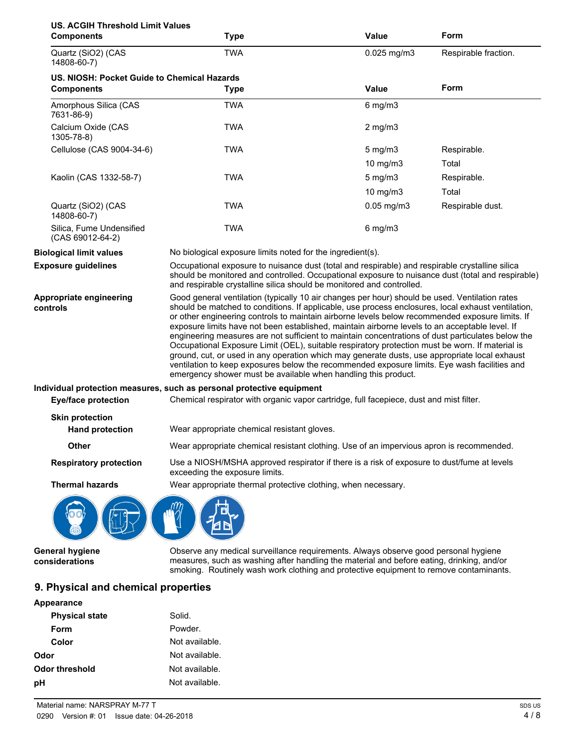| <b>US. ACGIH Threshold Limit Values</b><br><b>Components</b> | <b>Type</b>                                                                                                                                                                                                                                                                                                                                                                                                                                                                                                                                                                                                                                                                                                                                                                                                                                                                          | <b>Value</b>    | Form                 |
|--------------------------------------------------------------|--------------------------------------------------------------------------------------------------------------------------------------------------------------------------------------------------------------------------------------------------------------------------------------------------------------------------------------------------------------------------------------------------------------------------------------------------------------------------------------------------------------------------------------------------------------------------------------------------------------------------------------------------------------------------------------------------------------------------------------------------------------------------------------------------------------------------------------------------------------------------------------|-----------------|----------------------|
| Quartz (SiO2) (CAS<br>14808-60-7)                            | <b>TWA</b>                                                                                                                                                                                                                                                                                                                                                                                                                                                                                                                                                                                                                                                                                                                                                                                                                                                                           | 0.025 mg/m3     | Respirable fraction. |
| US. NIOSH: Pocket Guide to Chemical Hazards                  |                                                                                                                                                                                                                                                                                                                                                                                                                                                                                                                                                                                                                                                                                                                                                                                                                                                                                      |                 |                      |
| <b>Components</b>                                            | <b>Type</b>                                                                                                                                                                                                                                                                                                                                                                                                                                                                                                                                                                                                                                                                                                                                                                                                                                                                          | Value           | Form                 |
| Amorphous Silica (CAS<br>7631-86-9)                          | <b>TWA</b>                                                                                                                                                                                                                                                                                                                                                                                                                                                                                                                                                                                                                                                                                                                                                                                                                                                                           | $6$ mg/m $3$    |                      |
| Calcium Oxide (CAS<br>1305-78-8)                             | <b>TWA</b>                                                                                                                                                                                                                                                                                                                                                                                                                                                                                                                                                                                                                                                                                                                                                                                                                                                                           | $2$ mg/m $3$    |                      |
| Cellulose (CAS 9004-34-6)                                    | <b>TWA</b>                                                                                                                                                                                                                                                                                                                                                                                                                                                                                                                                                                                                                                                                                                                                                                                                                                                                           | $5$ mg/m $3$    | Respirable.          |
|                                                              |                                                                                                                                                                                                                                                                                                                                                                                                                                                                                                                                                                                                                                                                                                                                                                                                                                                                                      | 10 mg/m3        | Total                |
| Kaolin (CAS 1332-58-7)                                       | <b>TWA</b>                                                                                                                                                                                                                                                                                                                                                                                                                                                                                                                                                                                                                                                                                                                                                                                                                                                                           | $5$ mg/m $3$    | Respirable.          |
|                                                              |                                                                                                                                                                                                                                                                                                                                                                                                                                                                                                                                                                                                                                                                                                                                                                                                                                                                                      | 10 mg/m3        | Total                |
| Quartz (SiO2) (CAS<br>14808-60-7)                            | <b>TWA</b>                                                                                                                                                                                                                                                                                                                                                                                                                                                                                                                                                                                                                                                                                                                                                                                                                                                                           | $0.05$ mg/m $3$ | Respirable dust.     |
| Silica, Fume Undensified<br>(CAS 69012-64-2)                 | <b>TWA</b>                                                                                                                                                                                                                                                                                                                                                                                                                                                                                                                                                                                                                                                                                                                                                                                                                                                                           | $6$ mg/m $3$    |                      |
| <b>Biological limit values</b>                               | No biological exposure limits noted for the ingredient(s).                                                                                                                                                                                                                                                                                                                                                                                                                                                                                                                                                                                                                                                                                                                                                                                                                           |                 |                      |
| <b>Exposure guidelines</b>                                   | Occupational exposure to nuisance dust (total and respirable) and respirable crystalline silica<br>should be monitored and controlled. Occupational exposure to nuisance dust (total and respirable)<br>and respirable crystalline silica should be monitored and controlled.                                                                                                                                                                                                                                                                                                                                                                                                                                                                                                                                                                                                        |                 |                      |
| Appropriate engineering<br>controls                          | Good general ventilation (typically 10 air changes per hour) should be used. Ventilation rates<br>should be matched to conditions. If applicable, use process enclosures, local exhaust ventilation,<br>or other engineering controls to maintain airborne levels below recommended exposure limits. If<br>exposure limits have not been established, maintain airborne levels to an acceptable level. If<br>engineering measures are not sufficient to maintain concentrations of dust particulates below the<br>Occupational Exposure Limit (OEL), suitable respiratory protection must be worn. If material is<br>ground, cut, or used in any operation which may generate dusts, use appropriate local exhaust<br>ventilation to keep exposures below the recommended exposure limits. Eye wash facilities and<br>emergency shower must be available when handling this product. |                 |                      |
| <b>Eye/face protection</b>                                   | Individual protection measures, such as personal protective equipment<br>Chemical respirator with organic vapor cartridge, full facepiece, dust and mist filter.                                                                                                                                                                                                                                                                                                                                                                                                                                                                                                                                                                                                                                                                                                                     |                 |                      |
| <b>Skin protection</b>                                       |                                                                                                                                                                                                                                                                                                                                                                                                                                                                                                                                                                                                                                                                                                                                                                                                                                                                                      |                 |                      |
| <b>Hand protection</b>                                       | Wear appropriate chemical resistant gloves.                                                                                                                                                                                                                                                                                                                                                                                                                                                                                                                                                                                                                                                                                                                                                                                                                                          |                 |                      |
| Other                                                        | Wear appropriate chemical resistant clothing. Use of an impervious apron is recommended.                                                                                                                                                                                                                                                                                                                                                                                                                                                                                                                                                                                                                                                                                                                                                                                             |                 |                      |
| <b>Respiratory protection</b>                                | Use a NIOSH/MSHA approved respirator if there is a risk of exposure to dust/fume at levels<br>exceeding the exposure limits.                                                                                                                                                                                                                                                                                                                                                                                                                                                                                                                                                                                                                                                                                                                                                         |                 |                      |
| <b>Thermal hazards</b>                                       | Wear appropriate thermal protective clothing, when necessary.                                                                                                                                                                                                                                                                                                                                                                                                                                                                                                                                                                                                                                                                                                                                                                                                                        |                 |                      |
|                                                              |                                                                                                                                                                                                                                                                                                                                                                                                                                                                                                                                                                                                                                                                                                                                                                                                                                                                                      |                 |                      |
| General hygiene<br>considerations                            | Observe any medical surveillance requirements. Always observe good personal hygiene<br>measures, such as washing after handling the material and before eating, drinking, and/or<br>smoking. Routinely wash work clothing and protective equipment to remove contaminants.                                                                                                                                                                                                                                                                                                                                                                                                                                                                                                                                                                                                           |                 |                      |

# **9. Physical and chemical properties**

| Appearance            |                |
|-----------------------|----------------|
| <b>Physical state</b> | Solid.         |
| Form                  | Powder.        |
| Color                 | Not available. |
| Odor                  | Not available. |
| Odor threshold        | Not available. |
| рH                    | Not available. |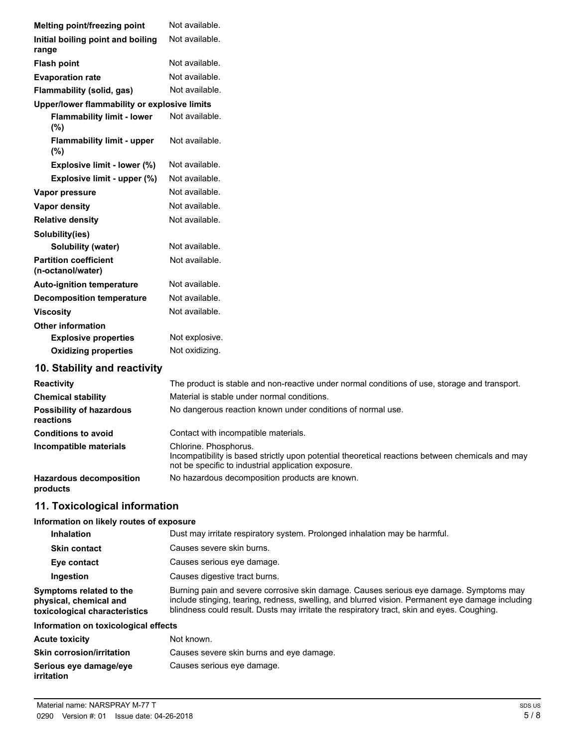| Melting point/freezing point                      | Not available.                                                                                |
|---------------------------------------------------|-----------------------------------------------------------------------------------------------|
| Initial boiling point and boiling                 | Not available.                                                                                |
| range                                             |                                                                                               |
| <b>Flash point</b>                                | Not available.                                                                                |
| <b>Evaporation rate</b>                           | Not available.                                                                                |
| Flammability (solid, gas)                         | Not available.                                                                                |
| Upper/lower flammability or explosive limits      |                                                                                               |
| <b>Flammability limit - lower</b><br>(%)          | Not available.                                                                                |
| <b>Flammability limit - upper</b><br>$(\%)$       | Not available.                                                                                |
| Explosive limit - lower (%)                       | Not available.                                                                                |
| Explosive limit - upper (%)                       | Not available.                                                                                |
| Vapor pressure                                    | Not available.                                                                                |
| <b>Vapor density</b>                              | Not available.                                                                                |
| <b>Relative density</b>                           | Not available.                                                                                |
| Solubility(ies)                                   |                                                                                               |
| Solubility (water)                                | Not available.                                                                                |
| <b>Partition coefficient</b><br>(n-octanol/water) | Not available.                                                                                |
| <b>Auto-ignition temperature</b>                  | Not available.                                                                                |
| <b>Decomposition temperature</b>                  | Not available.                                                                                |
| <b>Viscosity</b>                                  | Not available.                                                                                |
| <b>Other information</b>                          |                                                                                               |
| <b>Explosive properties</b>                       | Not explosive.                                                                                |
| <b>Oxidizing properties</b>                       | Not oxidizing.                                                                                |
| 10. Stability and reactivity                      |                                                                                               |
| Reactivity                                        | The product is stable and non-reactive under normal conditions of use, storage and transport. |
| <b>Chemical stability</b>                         | Material is stable under normal conditions.                                                   |
| <b>Possibility of hazardous</b><br>reactions      | No dangerous reaction known under conditions of normal use.                                   |
| <b>Conditions to avoid</b>                        | Contact with incompatible materials.                                                          |
| Incompatible materials                            | Chlorine. Phosphorus.                                                                         |

Hazardous decomposition No hazardous decomposition products are known. **products**

# **11. Toxicological information**

#### **Information on likely routes of exposure**

| <b>Inhalation</b>                                                                  | Dust may irritate respiratory system. Prolonged inhalation may be harmful.                                                                                                                                                                                                               |
|------------------------------------------------------------------------------------|------------------------------------------------------------------------------------------------------------------------------------------------------------------------------------------------------------------------------------------------------------------------------------------|
| <b>Skin contact</b>                                                                | Causes severe skin burns.                                                                                                                                                                                                                                                                |
| Eye contact                                                                        | Causes serious eye damage.                                                                                                                                                                                                                                                               |
| Ingestion                                                                          | Causes digestive tract burns.                                                                                                                                                                                                                                                            |
| Symptoms related to the<br>physical, chemical and<br>toxicological characteristics | Burning pain and severe corrosive skin damage. Causes serious eye damage. Symptoms may<br>include stinging, tearing, redness, swelling, and blurred vision. Permanent eye damage including<br>blindness could result. Dusts may irritate the respiratory tract, skin and eyes. Coughing. |
| Information on toxicological effects                                               |                                                                                                                                                                                                                                                                                          |

not be specific to industrial application exposure.

Incompatibility is based strictly upon potential theoretical reactions between chemicals and may

# **Information on toxicological effects**

| <b>Acute toxicity</b>                       | Not known.                               |
|---------------------------------------------|------------------------------------------|
| <b>Skin corrosion/irritation</b>            | Causes severe skin burns and eye damage. |
| Serious eye damage/eye<br><i>irritation</i> | Causes serious eye damage.               |
|                                             |                                          |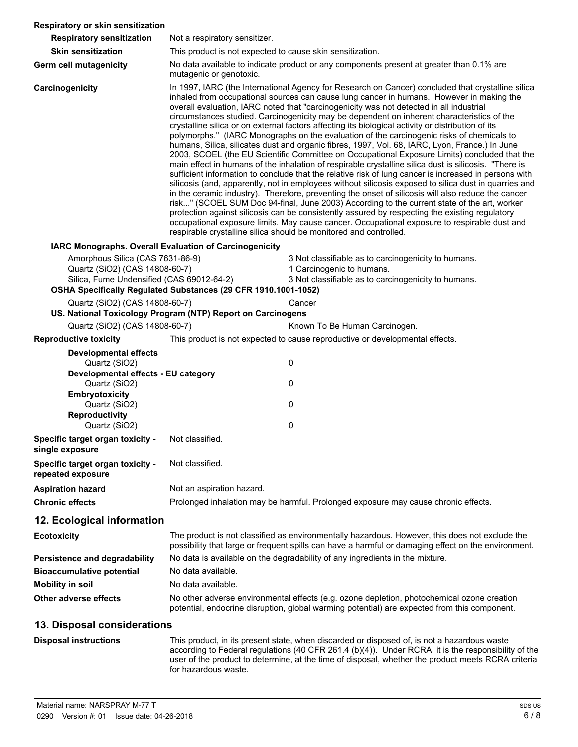| Respiratory or skin sensitization                                                                                                                                                  |                                                                                                                                                                                                                                                                                                                                                                                                                                                                                                                                                                                                                                                                                                                                                                                                                                                                                                                                                                                                                                                                                                                                                                                                                                                                                                                                                                                                                                                                                                                                                                                                    |                                                                                                                                                                                                                                                                                                          |
|------------------------------------------------------------------------------------------------------------------------------------------------------------------------------------|----------------------------------------------------------------------------------------------------------------------------------------------------------------------------------------------------------------------------------------------------------------------------------------------------------------------------------------------------------------------------------------------------------------------------------------------------------------------------------------------------------------------------------------------------------------------------------------------------------------------------------------------------------------------------------------------------------------------------------------------------------------------------------------------------------------------------------------------------------------------------------------------------------------------------------------------------------------------------------------------------------------------------------------------------------------------------------------------------------------------------------------------------------------------------------------------------------------------------------------------------------------------------------------------------------------------------------------------------------------------------------------------------------------------------------------------------------------------------------------------------------------------------------------------------------------------------------------------------|----------------------------------------------------------------------------------------------------------------------------------------------------------------------------------------------------------------------------------------------------------------------------------------------------------|
| <b>Respiratory sensitization</b>                                                                                                                                                   | Not a respiratory sensitizer.                                                                                                                                                                                                                                                                                                                                                                                                                                                                                                                                                                                                                                                                                                                                                                                                                                                                                                                                                                                                                                                                                                                                                                                                                                                                                                                                                                                                                                                                                                                                                                      |                                                                                                                                                                                                                                                                                                          |
| <b>Skin sensitization</b>                                                                                                                                                          | This product is not expected to cause skin sensitization.                                                                                                                                                                                                                                                                                                                                                                                                                                                                                                                                                                                                                                                                                                                                                                                                                                                                                                                                                                                                                                                                                                                                                                                                                                                                                                                                                                                                                                                                                                                                          |                                                                                                                                                                                                                                                                                                          |
| Germ cell mutagenicity                                                                                                                                                             | mutagenic or genotoxic.                                                                                                                                                                                                                                                                                                                                                                                                                                                                                                                                                                                                                                                                                                                                                                                                                                                                                                                                                                                                                                                                                                                                                                                                                                                                                                                                                                                                                                                                                                                                                                            | No data available to indicate product or any components present at greater than 0.1% are                                                                                                                                                                                                                 |
| Carcinogenicity                                                                                                                                                                    | In 1997, IARC (the International Agency for Research on Cancer) concluded that crystalline silica<br>inhaled from occupational sources can cause lung cancer in humans. However in making the<br>overall evaluation, IARC noted that "carcinogenicity was not detected in all industrial<br>circumstances studied. Carcinogenicity may be dependent on inherent characteristics of the<br>crystalline silica or on external factors affecting its biological activity or distribution of its<br>polymorphs." (IARC Monographs on the evaluation of the carcinogenic risks of chemicals to<br>humans, Silica, silicates dust and organic fibres, 1997, Vol. 68, IARC, Lyon, France.) In June<br>2003, SCOEL (the EU Scientific Committee on Occupational Exposure Limits) concluded that the<br>main effect in humans of the inhalation of respirable crystalline silica dust is silicosis. "There is<br>sufficient information to conclude that the relative risk of lung cancer is increased in persons with<br>silicosis (and, apparently, not in employees without silicosis exposed to silica dust in quarries and<br>in the ceramic industry). Therefore, preventing the onset of silicosis will also reduce the cancer<br>risk" (SCOEL SUM Doc 94-final, June 2003) According to the current state of the art, worker<br>protection against silicosis can be consistently assured by respecting the existing regulatory<br>occupational exposure limits. May cause cancer. Occupational exposure to respirable dust and<br>respirable crystalline silica should be monitored and controlled. |                                                                                                                                                                                                                                                                                                          |
| IARC Monographs. Overall Evaluation of Carcinogenicity<br>Amorphous Silica (CAS 7631-86-9)<br>Quartz (SiO2) (CAS 14808-60-7)<br>Silica, Fume Undensified (CAS 69012-64-2)          | OSHA Specifically Regulated Substances (29 CFR 1910.1001-1052)                                                                                                                                                                                                                                                                                                                                                                                                                                                                                                                                                                                                                                                                                                                                                                                                                                                                                                                                                                                                                                                                                                                                                                                                                                                                                                                                                                                                                                                                                                                                     | 3 Not classifiable as to carcinogenicity to humans.<br>1 Carcinogenic to humans.<br>3 Not classifiable as to carcinogenicity to humans.                                                                                                                                                                  |
| Quartz (SiO2) (CAS 14808-60-7)                                                                                                                                                     | US. National Toxicology Program (NTP) Report on Carcinogens                                                                                                                                                                                                                                                                                                                                                                                                                                                                                                                                                                                                                                                                                                                                                                                                                                                                                                                                                                                                                                                                                                                                                                                                                                                                                                                                                                                                                                                                                                                                        | Cancer                                                                                                                                                                                                                                                                                                   |
| Quartz (SiO2) (CAS 14808-60-7)                                                                                                                                                     |                                                                                                                                                                                                                                                                                                                                                                                                                                                                                                                                                                                                                                                                                                                                                                                                                                                                                                                                                                                                                                                                                                                                                                                                                                                                                                                                                                                                                                                                                                                                                                                                    | Known To Be Human Carcinogen.                                                                                                                                                                                                                                                                            |
| <b>Reproductive toxicity</b>                                                                                                                                                       |                                                                                                                                                                                                                                                                                                                                                                                                                                                                                                                                                                                                                                                                                                                                                                                                                                                                                                                                                                                                                                                                                                                                                                                                                                                                                                                                                                                                                                                                                                                                                                                                    | This product is not expected to cause reproductive or developmental effects.                                                                                                                                                                                                                             |
| <b>Developmental effects</b><br>Quartz (SiO2)<br>Developmental effects - EU category<br>Quartz (SiO2)<br>Embryotoxicity<br>Quartz (SiO2)<br><b>Reproductivity</b><br>Quartz (SiO2) |                                                                                                                                                                                                                                                                                                                                                                                                                                                                                                                                                                                                                                                                                                                                                                                                                                                                                                                                                                                                                                                                                                                                                                                                                                                                                                                                                                                                                                                                                                                                                                                                    | 0<br>0<br>0<br>$\pmb{0}$                                                                                                                                                                                                                                                                                 |
| Specific target organ toxicity -<br>single exposure                                                                                                                                | Not classified.                                                                                                                                                                                                                                                                                                                                                                                                                                                                                                                                                                                                                                                                                                                                                                                                                                                                                                                                                                                                                                                                                                                                                                                                                                                                                                                                                                                                                                                                                                                                                                                    |                                                                                                                                                                                                                                                                                                          |
| Specific target organ toxicity -<br>repeated exposure                                                                                                                              | Not classified.                                                                                                                                                                                                                                                                                                                                                                                                                                                                                                                                                                                                                                                                                                                                                                                                                                                                                                                                                                                                                                                                                                                                                                                                                                                                                                                                                                                                                                                                                                                                                                                    |                                                                                                                                                                                                                                                                                                          |
| <b>Aspiration hazard</b>                                                                                                                                                           | Not an aspiration hazard.                                                                                                                                                                                                                                                                                                                                                                                                                                                                                                                                                                                                                                                                                                                                                                                                                                                                                                                                                                                                                                                                                                                                                                                                                                                                                                                                                                                                                                                                                                                                                                          |                                                                                                                                                                                                                                                                                                          |
| <b>Chronic effects</b>                                                                                                                                                             |                                                                                                                                                                                                                                                                                                                                                                                                                                                                                                                                                                                                                                                                                                                                                                                                                                                                                                                                                                                                                                                                                                                                                                                                                                                                                                                                                                                                                                                                                                                                                                                                    | Prolonged inhalation may be harmful. Prolonged exposure may cause chronic effects.                                                                                                                                                                                                                       |
| 12. Ecological information                                                                                                                                                         |                                                                                                                                                                                                                                                                                                                                                                                                                                                                                                                                                                                                                                                                                                                                                                                                                                                                                                                                                                                                                                                                                                                                                                                                                                                                                                                                                                                                                                                                                                                                                                                                    |                                                                                                                                                                                                                                                                                                          |
| <b>Ecotoxicity</b>                                                                                                                                                                 |                                                                                                                                                                                                                                                                                                                                                                                                                                                                                                                                                                                                                                                                                                                                                                                                                                                                                                                                                                                                                                                                                                                                                                                                                                                                                                                                                                                                                                                                                                                                                                                                    | The product is not classified as environmentally hazardous. However, this does not exclude the<br>possibility that large or frequent spills can have a harmful or damaging effect on the environment.                                                                                                    |
| Persistence and degradability                                                                                                                                                      |                                                                                                                                                                                                                                                                                                                                                                                                                                                                                                                                                                                                                                                                                                                                                                                                                                                                                                                                                                                                                                                                                                                                                                                                                                                                                                                                                                                                                                                                                                                                                                                                    | No data is available on the degradability of any ingredients in the mixture.                                                                                                                                                                                                                             |
| <b>Bioaccumulative potential</b>                                                                                                                                                   | No data available.                                                                                                                                                                                                                                                                                                                                                                                                                                                                                                                                                                                                                                                                                                                                                                                                                                                                                                                                                                                                                                                                                                                                                                                                                                                                                                                                                                                                                                                                                                                                                                                 |                                                                                                                                                                                                                                                                                                          |
| <b>Mobility in soil</b>                                                                                                                                                            | No data available.                                                                                                                                                                                                                                                                                                                                                                                                                                                                                                                                                                                                                                                                                                                                                                                                                                                                                                                                                                                                                                                                                                                                                                                                                                                                                                                                                                                                                                                                                                                                                                                 |                                                                                                                                                                                                                                                                                                          |
| Other adverse effects                                                                                                                                                              |                                                                                                                                                                                                                                                                                                                                                                                                                                                                                                                                                                                                                                                                                                                                                                                                                                                                                                                                                                                                                                                                                                                                                                                                                                                                                                                                                                                                                                                                                                                                                                                                    | No other adverse environmental effects (e.g. ozone depletion, photochemical ozone creation<br>potential, endocrine disruption, global warming potential) are expected from this component.                                                                                                               |
| 13. Disposal considerations                                                                                                                                                        |                                                                                                                                                                                                                                                                                                                                                                                                                                                                                                                                                                                                                                                                                                                                                                                                                                                                                                                                                                                                                                                                                                                                                                                                                                                                                                                                                                                                                                                                                                                                                                                                    |                                                                                                                                                                                                                                                                                                          |
| <b>Disposal instructions</b>                                                                                                                                                       | for hazardous waste.                                                                                                                                                                                                                                                                                                                                                                                                                                                                                                                                                                                                                                                                                                                                                                                                                                                                                                                                                                                                                                                                                                                                                                                                                                                                                                                                                                                                                                                                                                                                                                               | This product, in its present state, when discarded or disposed of, is not a hazardous waste<br>according to Federal regulations (40 CFR 261.4 (b)(4)). Under RCRA, it is the responsibility of the<br>user of the product to determine, at the time of disposal, whether the product meets RCRA criteria |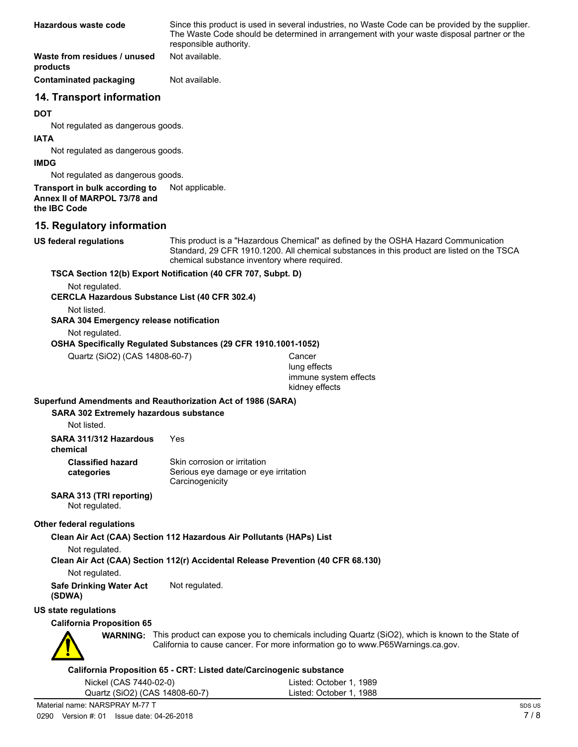| Hazardous waste code                                                           | Since this product is used in several industries, no Waste Code can be provided by the supplier.<br>The Waste Code should be determined in arrangement with your waste disposal partner or the<br>responsible authority. |
|--------------------------------------------------------------------------------|--------------------------------------------------------------------------------------------------------------------------------------------------------------------------------------------------------------------------|
| Waste from residues / unused<br>products                                       | Not available.                                                                                                                                                                                                           |
| Contaminated packaging                                                         | Not available.                                                                                                                                                                                                           |
| 14. Transport information                                                      |                                                                                                                                                                                                                          |
| <b>DOT</b>                                                                     |                                                                                                                                                                                                                          |
| Not regulated as dangerous goods.                                              |                                                                                                                                                                                                                          |
| <b>IATA</b>                                                                    |                                                                                                                                                                                                                          |
| Not regulated as dangerous goods.                                              |                                                                                                                                                                                                                          |
| <b>IMDG</b>                                                                    |                                                                                                                                                                                                                          |
| Not regulated as dangerous goods.                                              |                                                                                                                                                                                                                          |
| Transport in bulk according to<br>Annex II of MARPOL 73/78 and<br>the IBC Code | Not applicable.                                                                                                                                                                                                          |

#### **15. Regulatory information**

**US federal regulations**

This product is a "Hazardous Chemical" as defined by the OSHA Hazard Communication Standard, 29 CFR 1910.1200. All chemical substances in this product are listed on the TSCA chemical substance inventory where required.

#### **TSCA Section 12(b) Export Notification (40 CFR 707, Subpt. D)**

Not regulated.

#### **CERCLA Hazardous Substance List (40 CFR 302.4)**

Not listed.

#### **SARA 304 Emergency release notification**

Not regulated.

#### **OSHA Specifically Regulated Substances (29 CFR 1910.1001-1052)**

Quartz (SiO2) (CAS 14808-60-7) Cancer

lung effects immune system effects kidney effects

#### **Superfund Amendments and Reauthorization Act of 1986 (SARA)**

**SARA 302 Extremely hazardous substance**

Not listed.

**chemical**

| <b>Classified hazard</b> | Skin corrosion or irritation         |
|--------------------------|--------------------------------------|
| categories               | Serious eye damage or eye irritation |
|                          | Carcinogenicity                      |

#### **SARA 313 (TRI reporting)**

Not regulated.

#### **Other federal regulations**

**Clean Air Act (CAA) Section 112 Hazardous Air Pollutants (HAPs) List**

Not regulated.

**Clean Air Act (CAA) Section 112(r) Accidental Release Prevention (40 CFR 68.130)**

Not regulated.

**Safe Drinking Water Act** Not regulated. **(SDWA)**

**US state regulations**

#### **California Proposition 65**



WARNING: This product can expose you to chemicals including Quartz (SiO2), which is known to the State of California to cause cancer. For more information go to www.P65Warnings.ca.gov.

#### **California Proposition 65 - CRT: Listed date/Carcinogenic substance**

| Nickel (CAS 7440-02-0)         | Listed: October 1, 1989 |
|--------------------------------|-------------------------|
| Quartz (SiO2) (CAS 14808-60-7) | Listed: October 1, 1988 |